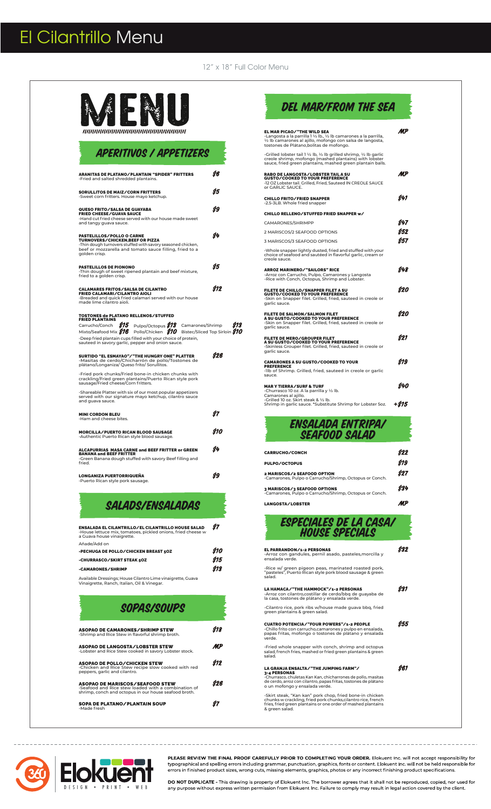# El Cilantrillo Menu

12" x 18" Full Color Menu



nnnnnnnnnnnnnnnnnnnnnnnnn

| <b>APERITIVOS / APPETIZERS</b>                                                                                                                                                                                  |     |
|-----------------------------------------------------------------------------------------------------------------------------------------------------------------------------------------------------------------|-----|
| <b>ARANITAS DE PLATANO/PLANTAIN "SPIDER" FRITTERS</b><br>-Fried and salted shredded plantains.                                                                                                                  | \$6 |
| <b>SORULLITOS DE MAIZ/CORN FRITTERS</b><br>-Sweet corn fritters. House mayo ketchup.                                                                                                                            | S5  |
| QUESO FRITO/SALSA DE GUAYABA<br><b>FRIED CHEESE/GUAVA SAUCE</b><br>-Hand cut fried cheese served with our house made sweet<br>and tangy guava sauce.                                                            | Ś9  |
| PASTELILLOS/POLLO O CARNE<br><b>TURNOVERS/CHICKEN, BEEF OR PIZZA</b><br>-Thin dough turnovers stuffed with savory seasoned chicken,<br>beef or mozzarella and tomato sauce filling, fried to a<br>golden crisp. | S4  |
| <b>PASTELILLOS DE PIONONO</b><br>-Thin dough of sweet ripened plantain and beef mixture,<br>fried to a golden crisp.                                                                                            | \$5 |
| <b>CALAMARES FRITOS/SALSA DE CILANTRO</b><br>FRIED CALAMARI/CILANTRO AIOLI<br>-Breaded and quick fried calamari served with our house<br>made lime cilantro aioli.                                              | S12 |
| <b>TOSTONES de PLATANO RELLENOS/STUFFED</b><br><b>FRIED PLANTAINS</b><br>-Deep fried plantain cups filled with your choice of protein,<br>sauteed in savory garlic, pepper and onion sauce.                     |     |
| SURTIDO "EL ESMAYAO"/"THE HUNGRY ONE" PLATTER<br>-Masitas de cerdo/Chicharrón de pollo/Tostones de<br>plátano/Longaniza/ Queso frito/ Sorullitos.                                                               | S26 |
| -Fried pork chunks/Fried bone-in chicken chunks with<br>crackling/Fried green plantains/Puerto Rican style pork<br>sausage/Fried cheese/Corn fritters.                                                          |     |
| -Shareable Platter with six of our most popular appetizers<br>served with our signature mayo ketchup, cilantro sauce<br>and guava sauce.                                                                        |     |
| <b>MINI CORDON BLEU</b><br>-Ham and cheese bites.                                                                                                                                                               | \$7 |
| <b>MORCILLA/PUERTO RICAN BLOOD SAUSAGE</b><br>-Authentic Puerto Rican style blood sausage.                                                                                                                      | 810 |
| ALCAPURRIAS MASA CARNE and BEEF FRITTER or GREEN<br><b>BANANA and BEEF FRITTER</b><br>-Green Banana dough stuffed with savory Beef filling and<br>fried.                                                        | Ś4  |
| <b>LONGANIZA PUERTORRIQUEÑA</b><br>-Puerto Rican style pork sausage.                                                                                                                                            | Š9  |

# SALADS/ENSALADAS

| <b>ENSALADA EL CILANTRILLO/EL CILANTRILLO HOUSE SALAD</b><br>-House lettuce mix, tomatoes, pickled onions, fried cheese w<br>a Guava house vinaigrette. | 87   |
|---------------------------------------------------------------------------------------------------------------------------------------------------------|------|
| Añade/Add on                                                                                                                                            |      |
| -PECHUGA DE POLLO/CHICKEN BREAST 50Z                                                                                                                    | S 10 |
| -CHURRASCO/SKIRT STEAK 50Z                                                                                                                              |      |
| -CAMARONES/SHRIMP                                                                                                                                       | 818  |
|                                                                                                                                                         |      |

Available Dressings; House Cilantro Lime vinaigrette, Guava Vinaigrette, Ranch, Italian, Oil & Vinegar.

### SOPAS/SOUPS

| ASOPAO DE CAMARONES/SHRIMP STEW<br>-Shrimp and Rice Stew in flavorful shrimp broth.                                                             | \$18 |
|-------------------------------------------------------------------------------------------------------------------------------------------------|------|
| ASOPAO DE LANGOSTA⁄LOBSTER STEW<br>-Lobster and Rice Stew cooked in savory Lobster stock.                                                       | MP   |
| ASOPAO DE POLLO/CHICKEN STEW<br>-Chicken and Rice Stew recipe slow cooked with red<br>peppers, garlic and cilantro.                             | \$12 |
| ASOPAO DE MARISCOS/SEAFOOD STEW<br>-Seafood and Rice stew loaded with a combination of<br>shrimp, conch and octopus in our house seafood broth. | S26  |
| SOPA DE PLATANO/PLANTAIN SOUP<br>-Made fresh                                                                                                    | Ω7   |

# DEL MAR/FROM THE SEA

| EL MAR PICAO/"THE WILD SEA<br>-Langosta a la parrilla 1 ½ lb., ½ lb camarones a la parrilla.<br>1/2 lb camarones al ajillo, mofongo con salsa de langosta,<br>tostones de Plátano, bolitas de mofongo. | MP    |
|--------------------------------------------------------------------------------------------------------------------------------------------------------------------------------------------------------|-------|
| -Grilled lobster tail 1 1/2 lb, 1/2 lb grilled shrimp, 1/2 lb garlic<br>creole shrimp, mofongo (mashed plantains) with lobster<br>sauce, fried green plantains, mashed green plantain balls.           |       |
| RABO DE LANGOSTA/LOBSTER TAIL A SU<br><b>GUSTO/COOKED TO YOUR PREFERENCE</b><br>-12 OZ Lobster tail. Grilled, Fried, Sauteed IN CREOLE SAUCE<br>or GARLIC SAUCE.                                       | MP    |
| <b>CHILLO FRITO/FRIED SNAPPER</b><br>-2.5-3LB. Whole fried snapper                                                                                                                                     | S41   |
| CHILLO RELLENO/STUFFED FRIED SNAPPER w/                                                                                                                                                                |       |
| CAMARONES/SHRIMPP                                                                                                                                                                                      | S47   |
| 2 MARISCOS/2 SEAFOOD OPTIONS                                                                                                                                                                           | S52   |
| 3 MARISCOS/3 SEAFOOD OPTIONS                                                                                                                                                                           | Ś57   |
| -Whole snapper lightly dusted, fried and stuffed with your<br>choice of seafood and sautéed in flavorful garlic, cream or<br>creole sauce.                                                             |       |
| <b>ARROZ MARINERO/"SAILORS" RICE</b><br>-Arroz con Carrucho, Pulpo, Camarones y Langosta<br>-Rice with Conch, Octopus, Shrimp and Lobster.                                                             | S48   |
| FILETE DE CHILLO/SNAPPER FILET A SU<br><b>GUSTO/COOKED TO YOUR PREFERENCE</b><br>-Skin on Snapper filet. Grilled, fried, sauteed in creole or<br>garlic sauce.                                         | S20   |
| <b>FILETE DE SALMON/SALMON FILET</b><br>A SU GUSTO/COOKED TO YOUR PREFERENCE<br>-Skin on Snapper filet. Grilled, fried, sauteed in creole or<br>garlic sauce.                                          | S20   |
| <b>FILETE DE MERO/GROUPER FILET</b><br>A SU GUSTO/COOKED TO YOUR PREFERENCE<br>-Skinless Grouper filet. Grilled, fried, sauteed in creole or<br>garlic sauce.                                          | S21   |
| <b>CAMARONES A SU GUSTO/COOKED TO YOUR</b><br><b>PREFERENCE</b><br>-1lb of Shrimp. Grilled, fried, sauteed in creole or garlic<br>sauce.                                                               | S19   |
| <b>MARY TIERRA/SURF &amp; TURF</b><br>-Churrasco 10 oz. A la parrilla y 1/2 lb.<br>Camarones al aiillo.                                                                                                | S40   |
| -Grilled 10 oz. Skirt steak & 1/2 lb.<br>Shrimp in garlic sauce. *Substitute Shrimp for Lobster 5oz.                                                                                                   | +\$15 |



| <b>CARRUCHO/CONCH</b>                                                                  |            |
|----------------------------------------------------------------------------------------|------------|
| <b>PULPO/OCTOPUS</b>                                                                   | 819        |
| 2 MARISCOS/2 SEAFOOD OPTION<br>-Camarones, Pulpo o Carrucho/Shrimp, Octopus or Conch.  | <b>S27</b> |
| 3 MARISCOS/3 SEAFOOD OPTIONS<br>-Camarones, Pulpo o Carrucho/Shrimp, Octopus or Conch. | 834        |
| LANGOSTA/LOBSTER                                                                       |            |

ESPECIALES DE LA CASA/ HOUSE SPECIALS

| <b>EL PARRANDON/1-2 PERSONAS</b><br>-Arroz con gandules, pernil asado, pasteles, morcilla y<br>ensalada verde.                                                                                              | 932 |
|-------------------------------------------------------------------------------------------------------------------------------------------------------------------------------------------------------------|-----|
| -Rice w/ green pigeon peas, marinated roasted pork,<br>"pasteles", Puerto Rican style pork blood sausage & green<br>salad.                                                                                  |     |
|                                                                                                                                                                                                             |     |
| LA HAMACA/"THE HAMMOCK"/1-2 PERSONAS<br>-Arroz con cilantro,costillar de cerdo/bbq de guayaba de<br>la casa, tostones de plátano y ensalada verde.                                                          | 831 |
| -Cilantro rice, pork ribs w/house made guava bbg, fried<br>green plantains & green salad.                                                                                                                   |     |
| <b>CUATRO POTENCIA/"FOUR POWERS"/1-2 PEOPLE</b>                                                                                                                                                             | S55 |
| -Chillo frito con carrucho,camarones y pulpo en ensalada,<br>papas fritas, mofongo o tostones de plátano y ensalada<br>verde.                                                                               |     |
| -Fried whole snapper with conch, shrimp and octopus<br>salad, french fries, mashed or fried green plantains & green<br>salad.                                                                               |     |
| LA GRANJA ENSALTA/"THE JUMPING FARM"/                                                                                                                                                                       | 861 |
| <b>3-4 PERSONAS</b>                                                                                                                                                                                         |     |
| -Churrasco, chuletas Kan Kan, chicharrones de pollo, masitas<br>de cerdo, arroz con cilantro, papas fritas, tostones de plátano<br>o un mofongo y ensalada verde.                                           |     |
| -Skirt steak, "Kan kan" pork chop, fried bone-in chicken<br>chunks w crackling, fried pork chunks, cilantro rice, french<br>fries, fried green plantains or one order of mashed plantains<br>& green salad. |     |



**PLEASE REVIEW THE FINAL PROOF CAREFULLY PRIOR TO COMPLETING YOUR ORDER.** Elokuent Inc. will not accept responsibility for<br>typographical and spelling errors including grammar, punctuation, graphics, fonts or content. Eloku

DO NOT DUPLICATE - This drawing is property of Elokuent Inc. The borrower agrees that it shall not be reproduced, copied, nor used for<br>any purpose without express written permission from Elokuent Inc. Failure to comply may